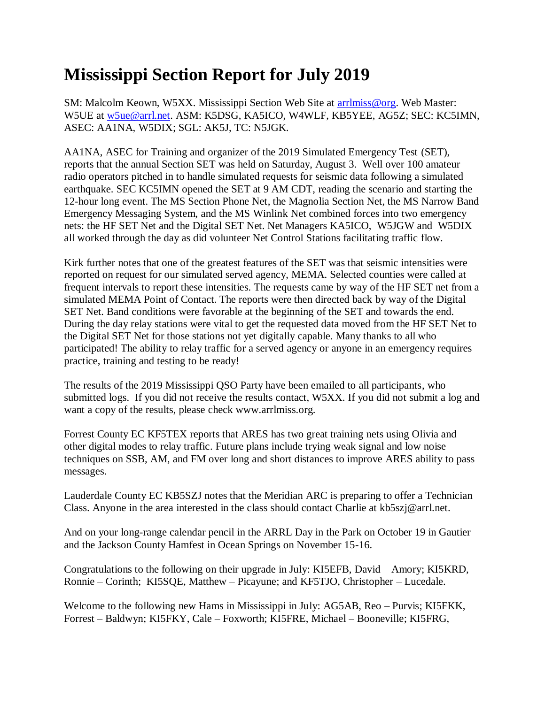## **Mississippi Section Report for July 2019**

SM: Malcolm Keown, W5XX. Mississippi Section Web Site at [arrlmiss@org.](mailto:arrlmiss@org) Web Master: W5UE at [w5ue@arrl.net.](mailto:w5ue@arrl.net) ASM: K5DSG, KA5ICO, W4WLF, KB5YEE, AG5Z; SEC: KC5IMN, ASEC: AA1NA, W5DIX; SGL: AK5J, TC: N5JGK.

AA1NA, ASEC for Training and organizer of the 2019 Simulated Emergency Test (SET), reports that the annual Section SET was held on Saturday, August 3. Well over 100 amateur radio operators pitched in to handle simulated requests for seismic data following a simulated earthquake. SEC KC5IMN opened the SET at 9 AM CDT, reading the scenario and starting the 12-hour long event. The MS Section Phone Net, the Magnolia Section Net, the MS Narrow Band Emergency Messaging System, and the MS Winlink Net combined forces into two emergency nets: the HF SET Net and the Digital SET Net. Net Managers KA5ICO, W5JGW and W5DIX all worked through the day as did volunteer Net Control Stations facilitating traffic flow.

Kirk further notes that one of the greatest features of the SET was that seismic intensities were reported on request for our simulated served agency, MEMA. Selected counties were called at frequent intervals to report these intensities. The requests came by way of the HF SET net from a simulated MEMA Point of Contact. The reports were then directed back by way of the Digital SET Net. Band conditions were favorable at the beginning of the SET and towards the end. During the day relay stations were vital to get the requested data moved from the HF SET Net to the Digital SET Net for those stations not yet digitally capable. Many thanks to all who participated! The ability to relay traffic for a served agency or anyone in an emergency requires practice, training and testing to be ready!

The results of the 2019 Mississippi QSO Party have been emailed to all participants, who submitted logs. If you did not receive the results contact, W5XX. If you did not submit a log and want a copy of the results, please check www.arrlmiss.org.

Forrest County EC KF5TEX reports that ARES has two great training nets using Olivia and other digital modes to relay traffic. Future plans include trying weak signal and low noise techniques on SSB, AM, and FM over long and short distances to improve ARES ability to pass messages.

Lauderdale County EC KB5SZJ notes that the Meridian ARC is preparing to offer a Technician Class. Anyone in the area interested in the class should contact Charlie at kb5szj@arrl.net.

And on your long-range calendar pencil in the ARRL Day in the Park on October 19 in Gautier and the Jackson County Hamfest in Ocean Springs on November 15-16.

Congratulations to the following on their upgrade in July: KI5EFB, David – Amory; KI5KRD, Ronnie – Corinth; KI5SQE, Matthew – Picayune; and KF5TJO, Christopher – Lucedale.

Welcome to the following new Hams in Mississippi in July: AG5AB, Reo – Purvis; KI5FKK, Forrest – Baldwyn; KI5FKY, Cale – Foxworth; KI5FRE, Michael – Booneville; KI5FRG,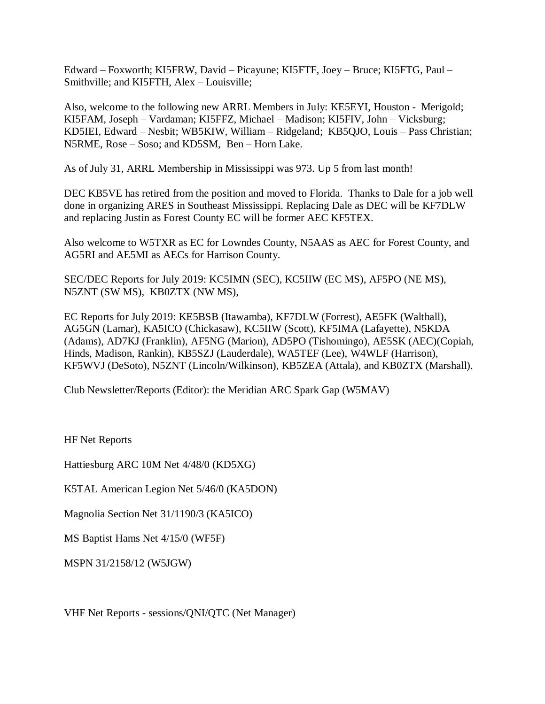Edward – Foxworth; KI5FRW, David – Picayune; KI5FTF, Joey – Bruce; KI5FTG, Paul – Smithville; and KI5FTH, Alex – Louisville;

Also, welcome to the following new ARRL Members in July: KE5EYI, Houston - Merigold; KI5FAM, Joseph – Vardaman; KI5FFZ, Michael – Madison; KI5FIV, John – Vicksburg; KD5IEI, Edward – Nesbit; WB5KIW, William – Ridgeland; KB5QJO, Louis – Pass Christian; N5RME, Rose – Soso; and KD5SM, Ben – Horn Lake.

As of July 31, ARRL Membership in Mississippi was 973. Up 5 from last month!

DEC KB5VE has retired from the position and moved to Florida. Thanks to Dale for a job well done in organizing ARES in Southeast Mississippi. Replacing Dale as DEC will be KF7DLW and replacing Justin as Forest County EC will be former AEC KF5TEX.

Also welcome to W5TXR as EC for Lowndes County, N5AAS as AEC for Forest County, and AG5RI and AE5MI as AECs for Harrison County.

SEC/DEC Reports for July 2019: KC5IMN (SEC), KC5IIW (EC MS), AF5PO (NE MS), N5ZNT (SW MS), KB0ZTX (NW MS),

EC Reports for July 2019: KE5BSB (Itawamba), KF7DLW (Forrest), AE5FK (Walthall), AG5GN (Lamar), KA5ICO (Chickasaw), KC5IIW (Scott), KF5IMA (Lafayette), N5KDA (Adams), AD7KJ (Franklin), AF5NG (Marion), AD5PO (Tishomingo), AE5SK (AEC)(Copiah, Hinds, Madison, Rankin), KB5SZJ (Lauderdale), WA5TEF (Lee), W4WLF (Harrison), KF5WVJ (DeSoto), N5ZNT (Lincoln/Wilkinson), KB5ZEA (Attala), and KB0ZTX (Marshall).

Club Newsletter/Reports (Editor): the Meridian ARC Spark Gap (W5MAV)

HF Net Reports

Hattiesburg ARC 10M Net 4/48/0 (KD5XG)

K5TAL American Legion Net 5/46/0 (KA5DON)

Magnolia Section Net 31/1190/3 (KA5ICO)

MS Baptist Hams Net 4/15/0 (WF5F)

MSPN 31/2158/12 (W5JGW)

VHF Net Reports - sessions/QNI/QTC (Net Manager)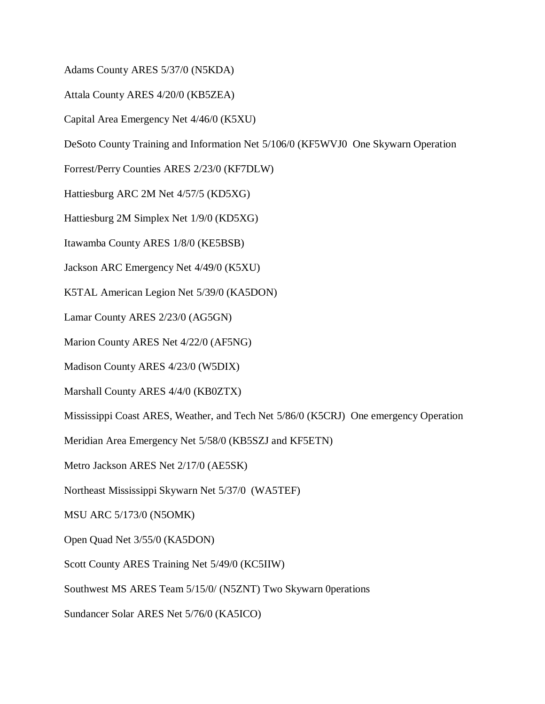Adams County ARES 5/37/0 (N5KDA)

Attala County ARES 4/20/0 (KB5ZEA)

Capital Area Emergency Net 4/46/0 (K5XU)

DeSoto County Training and Information Net 5/106/0 (KF5WVJ0 One Skywarn Operation

Forrest/Perry Counties ARES 2/23/0 (KF7DLW)

Hattiesburg ARC 2M Net 4/57/5 (KD5XG)

Hattiesburg 2M Simplex Net 1/9/0 (KD5XG)

Itawamba County ARES 1/8/0 (KE5BSB)

Jackson ARC Emergency Net 4/49/0 (K5XU)

K5TAL American Legion Net 5/39/0 (KA5DON)

Lamar County ARES 2/23/0 (AG5GN)

Marion County ARES Net 4/22/0 (AF5NG)

Madison County ARES 4/23/0 (W5DIX)

Marshall County ARES 4/4/0 (KB0ZTX)

Mississippi Coast ARES, Weather, and Tech Net 5/86/0 (K5CRJ) One emergency Operation

Meridian Area Emergency Net 5/58/0 (KB5SZJ and KF5ETN)

Metro Jackson ARES Net 2/17/0 (AE5SK)

Northeast Mississippi Skywarn Net 5/37/0 (WA5TEF)

MSU ARC 5/173/0 (N5OMK)

Open Quad Net 3/55/0 (KA5DON)

Scott County ARES Training Net 5/49/0 (KC5IIW)

Southwest MS ARES Team 5/15/0/ (N5ZNT) Two Skywarn 0perations

Sundancer Solar ARES Net 5/76/0 (KA5ICO)